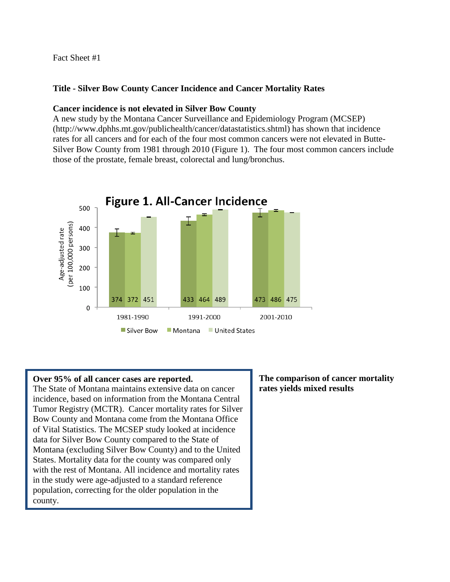Fact Sheet #1

## **Title - Silver Bow County Cancer Incidence and Cancer Mortality Rates**

### **Cancer incidence is not elevated in Silver Bow County**

A new study by the Montana Cancer Surveillance and Epidemiology Program (MCSEP) (http://www.dphhs.mt.gov/publichealth/cancer/datastatistics.shtml) has shown that incidence rates for all cancers and for each of the four most common cancers were not elevated in Butte-Silver Bow County from 1981 through 2010 (Figure 1). The four most common cancers include those of the prostate, female breast, colorectal and lung/bronchus.



## **Over 95% of all cancer cases are reported.**

The State of Montana maintains extensive data on cancer incidence, based on information from the Montana Central Tumor Registry (MCTR). Cancer mortality rates for Silver Bow County and Montana come from the Montana Office of Vital Statistics. The MCSEP study looked at incidence data for Silver Bow County compared to the State of Montana (excluding Silver Bow County) and to the United States. Mortality data for the county was compared only with the rest of Montana. All incidence and mortality rates in the study were age-adjusted to a standard reference population, correcting for the older population in the county.

# **The comparison of cancer mortality rates yields mixed results**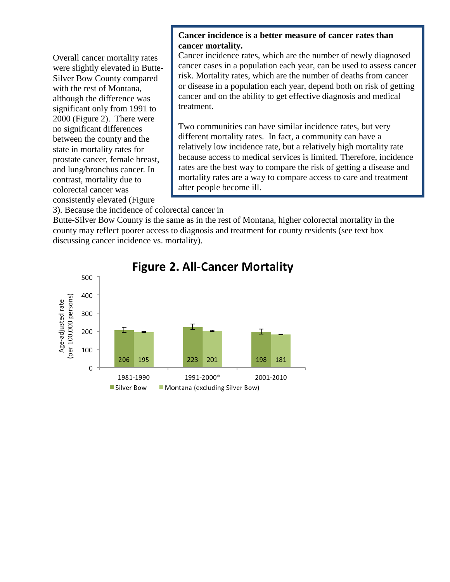Overall cancer mortality rates were slightly elevated in Butte-Silver Bow County compared with the rest of Montana, although the difference was significant only from 1991 to 2000 (Figure 2). There were no significant differences between the county and the state in mortality rates for prostate cancer, female breast, and lung/bronchus cancer. In contrast, mortality due to colorectal cancer was consistently elevated (Figure

### **Cancer incidence is a better measure of cancer rates than cancer mortality.**

Cancer incidence rates, which are the number of newly diagnosed cancer cases in a population each year, can be used to assess cancer risk. Mortality rates, which are the number of deaths from cancer or disease in a population each year, depend both on risk of getting cancer and on the ability to get effective diagnosis and medical treatment.

Two communities can have similar incidence rates, but very different mortality rates. In fact, a community can have a relatively low incidence rate, but a relatively high mortality rate because access to medical services is limited. Therefore, incidence rates are the best way to compare the risk of getting a disease and mortality rates are a way to compare access to care and treatment after people become ill.

3). Because the incidence of colorectal cancer in

Butte-Silver Bow County is the same as in the rest of Montana, higher colorectal mortality in the county may reflect poorer access to diagnosis and treatment for county residents (see text box discussing cancer incidence vs. mortality).



# **Figure 2. All-Cancer Mortality**